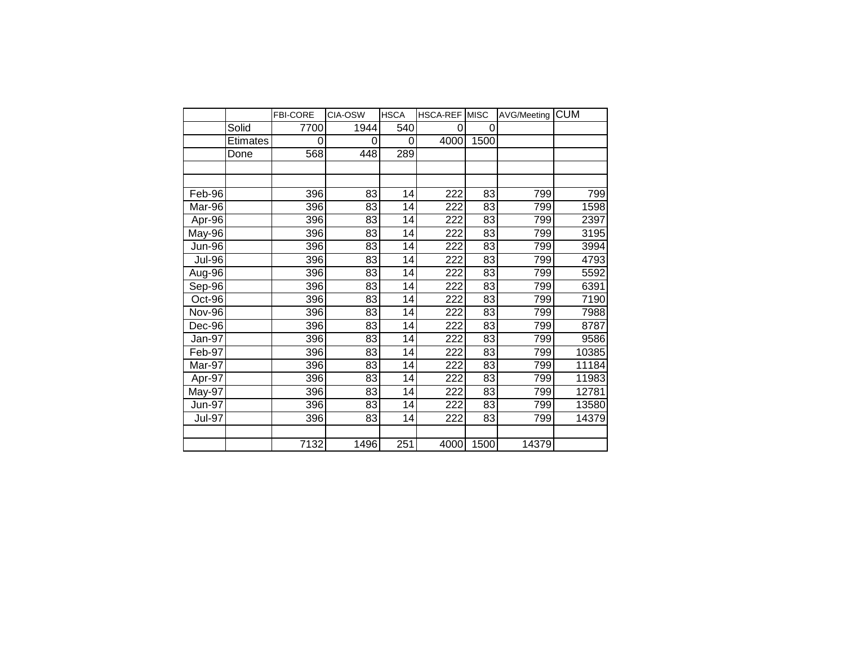|               |          | <b>FBI-CORE</b> | CIA-OSW | <b>HSCA</b> | <b>HSCA-REF MISC</b> |          | AVG/Meeting | <b>CUM</b> |  |
|---------------|----------|-----------------|---------|-------------|----------------------|----------|-------------|------------|--|
|               | Solid    | 7700            | 1944    | 540         | 0                    | $\Omega$ |             |            |  |
|               | Etimates | 0               | 0       | 0           | 4000                 | 1500     |             |            |  |
|               | Done     | 568             | 448     | 289         |                      |          |             |            |  |
|               |          |                 |         |             |                      |          |             |            |  |
|               |          |                 |         |             |                      |          |             |            |  |
| Feb-96        |          | 396             | 83      | 14          | 222                  | 83       | 799         | 799        |  |
| Mar-96        |          | 396             | 83      | 14          | 222                  | 83       | 799         | 1598       |  |
| Apr-96        |          | 396             | 83      | 14          | 222                  | 83       | 799         | 2397       |  |
| May-96        |          | 396             | 83      | 14          | 222                  | 83       | 799         | 3195       |  |
| Jun-96        |          | 396             | 83      | 14          | 222                  | 83       | 799         | 3994       |  |
| <b>Jul-96</b> |          | 396             | 83      | 14          | 222                  | 83       | 799         | 4793       |  |
| Aug-96        |          | 396             | 83      | 14          | 222                  | 83       | 799         | 5592       |  |
| Sep-96        |          | 396             | 83      | 14          | 222                  | 83       | 799         | 6391       |  |
| Oct-96        |          | 396             | 83      | 14          | 222                  | 83       | 799         | 7190       |  |
| <b>Nov-96</b> |          | 396             | 83      | 14          | 222                  | 83       | 799         | 7988       |  |
| Dec-96        |          | 396             | 83      | 14          | 222                  | 83       | 799         | 8787       |  |
| Jan-97        |          | 396             | 83      | 14          | 222                  | 83       | 799         | 9586       |  |
| Feb-97        |          | 396             | 83      | 14          | 222                  | 83       | 799         | 10385      |  |
| Mar-97        |          | 396             | 83      | 14          | 222                  | 83       | 799         | 11184      |  |
| Apr-97        |          | 396             | 83      | 14          | 222                  | 83       | 799         | 11983      |  |
| May-97        |          | 396             | 83      | 14          | 222                  | 83       | 799         | 12781      |  |
| <b>Jun-97</b> |          | 396             | 83      | 14          | 222                  | 83       | 799         | 13580      |  |
| <b>Jul-97</b> |          | 396             | 83      | 14          | 222                  | 83       | 799         | 14379      |  |
|               |          |                 |         |             |                      |          |             |            |  |
|               |          | 7132            | 1496    | 251         | 4000                 | 1500     | 14379       |            |  |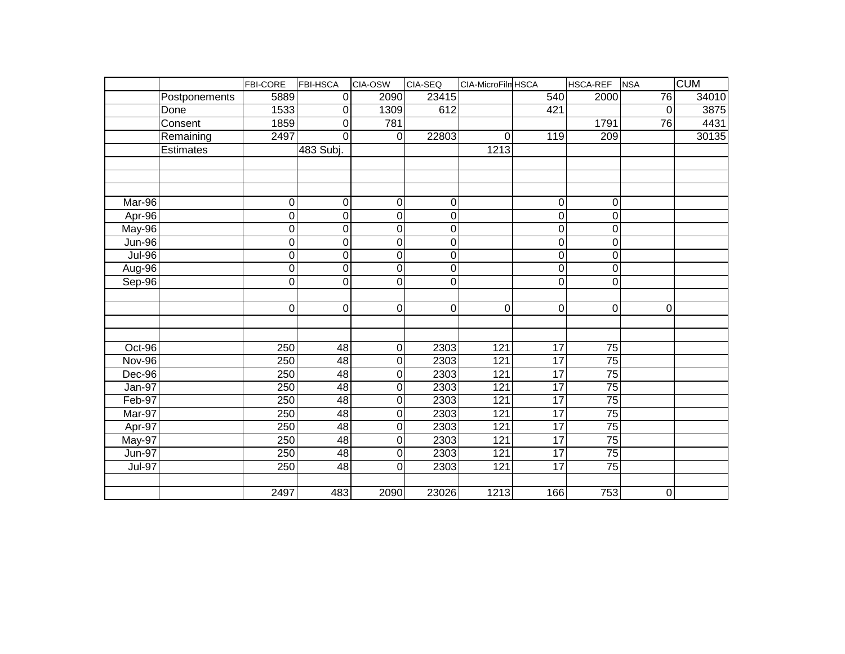|               |               | FBI-CORE            | <b>FBI-HSCA</b> | CIA-OSW          | CIA-SEQ     | CIA-MicroFilm HSCA |                  | HSCA-REF         | <b>NSA</b>       | <b>CUM</b> |
|---------------|---------------|---------------------|-----------------|------------------|-------------|--------------------|------------------|------------------|------------------|------------|
|               | Postponements | 5889                | $\Omega$        | 2090             | 23415       |                    | 540              | 2000             | 76               | 34010      |
|               | Done          | 1533                | $\pmb{0}$       | 1309             | 612         |                    | 421              |                  | $\mathbf 0$      | 3875       |
|               | Consent       | 1859                | 0               | 781              |             |                    |                  | 1791             | $\overline{76}$  | 4431       |
|               | Remaining     | 2497                | 0               | $\overline{0}$   | 22803       | $\mathbf 0$        | 119              | $\overline{209}$ |                  | 30135      |
|               | Estimates     |                     | 483 Subj.       |                  |             | 1213               |                  |                  |                  |            |
|               |               |                     |                 |                  |             |                    |                  |                  |                  |            |
|               |               |                     |                 |                  |             |                    |                  |                  |                  |            |
|               |               |                     |                 |                  |             |                    |                  |                  |                  |            |
| Mar-96        |               | 0                   | $\mathbf 0$     | $\mathbf 0$      | 0           |                    | 0                | 0                |                  |            |
| Apr-96        |               | $\mathbf 0$         | 0               | $\mathbf 0$      | 0           |                    | 0                | 0                |                  |            |
| $May-96$      |               | $\overline{0}$      | 0               | $\mathbf 0$      | 0           |                    | 0                | 0                |                  |            |
| <b>Jun-96</b> |               | $\overline{0}$      | $\overline{0}$  | $\mathbf 0$      | $\mathbf 0$ |                    | $\overline{0}$   | 0                |                  |            |
| $Jul-96$      |               | $\overline{0}$      | 0               | $\mathbf 0$      | 0           |                    | 0                | 0                |                  |            |
| Aug-96        |               | $\mathsf{O}\xspace$ | 0               | $\mathbf 0$      | 0           |                    | 0                | 0                |                  |            |
| Sep-96        |               | $\overline{0}$      | 0               | $\overline{0}$   | $\mathbf 0$ |                    | $\overline{0}$   | 0                |                  |            |
|               |               |                     |                 |                  |             |                    |                  |                  |                  |            |
|               |               | $\mathbf 0$         | $\pmb{0}$       | $\boldsymbol{0}$ | $\pmb{0}$   | $\pmb{0}$          | $\boldsymbol{0}$ | $\mathbf 0$      | $\mathbf 0$      |            |
|               |               |                     |                 |                  |             |                    |                  |                  |                  |            |
|               |               |                     |                 |                  |             |                    |                  |                  |                  |            |
| Oct-96        |               | 250                 | 48              | $\boldsymbol{0}$ | 2303        | 121                | 17               | 75               |                  |            |
| Nov-96        |               | 250                 | 48              | $\mathbf 0$      | 2303        | 121                | $\overline{17}$  | $\overline{75}$  |                  |            |
| Dec-96        |               | 250                 | 48              | 0                | 2303        | 121                | 17               | 75               |                  |            |
| Jan-97        |               | 250                 | 48              | $\mathbf 0$      | 2303        | 121                | 17               | 75               |                  |            |
| Feb-97        |               | 250                 | $\overline{48}$ | 0                | 2303        | 121                | $\overline{17}$  | $\overline{75}$  |                  |            |
| Mar-97        |               | 250                 | 48              | 0                | 2303        | 121                | 17               | 75               |                  |            |
| Apr-97        |               | $\overline{250}$    | 48              | $\mathbf 0$      | 2303        | 121                | 17               | 75               |                  |            |
| <b>May-97</b> |               | 250                 | $\overline{48}$ | 0                | 2303        | 121                | $\overline{17}$  | $\overline{75}$  |                  |            |
| <b>Jun-97</b> |               | 250                 | 48              | 0                | 2303        | 121                | 17               | $\overline{75}$  |                  |            |
| <b>Jul-97</b> |               | $\overline{250}$    | $\overline{48}$ | 0                | 2303        | 121                | $\overline{17}$  | $\overline{75}$  |                  |            |
|               |               |                     |                 |                  |             |                    |                  |                  |                  |            |
|               |               | 2497                | 483             | 2090             | 23026       | 1213               | 166              | 753              | $\boldsymbol{0}$ |            |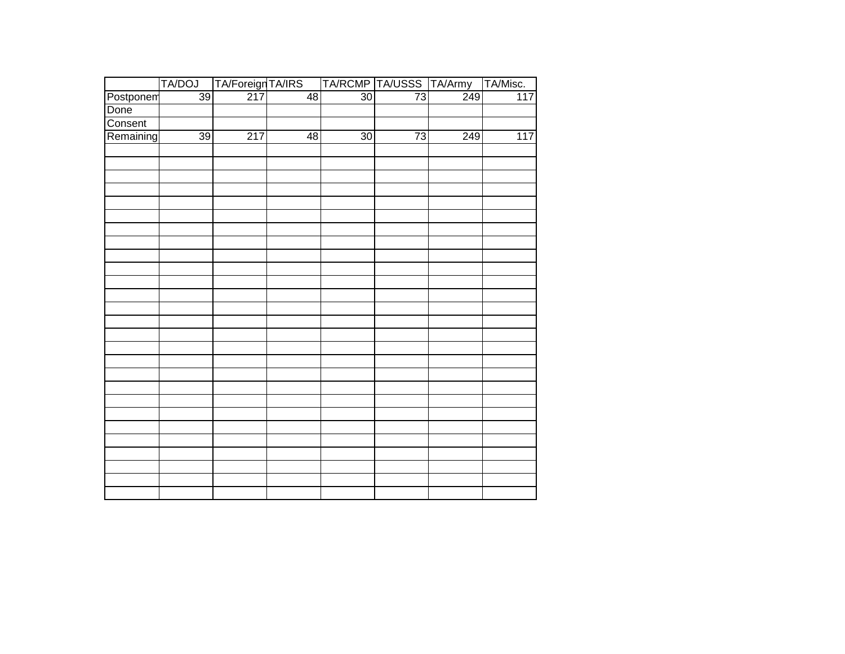|                   | TA/ForeignTA/IRS<br>217 4<br>TA/DOJ |                  |                 |                 |                 | TA/RCMP TA/USSS TA/Army TA/Misc. |                 |
|-------------------|-------------------------------------|------------------|-----------------|-----------------|-----------------|----------------------------------|-----------------|
| Postponem<br>Done | $\overline{39}$                     |                  | $\overline{48}$ | $\overline{30}$ | $\overline{73}$ | $\frac{1}{249}$                  | $\frac{1}{117}$ |
|                   |                                     |                  |                 |                 |                 |                                  |                 |
| Consent           |                                     |                  |                 |                 |                 |                                  |                 |
| Remaining         | 39                                  | $\overline{217}$ | $\overline{48}$ | 30              | $\overline{73}$ | 249                              | 117             |
|                   |                                     |                  |                 |                 |                 |                                  |                 |
|                   |                                     |                  |                 |                 |                 |                                  |                 |
|                   |                                     |                  |                 |                 |                 |                                  |                 |
|                   |                                     |                  |                 |                 |                 |                                  |                 |
|                   |                                     |                  |                 |                 |                 |                                  |                 |
|                   |                                     |                  |                 |                 |                 |                                  |                 |
|                   |                                     |                  |                 |                 |                 |                                  |                 |
|                   |                                     |                  |                 |                 |                 |                                  |                 |
|                   |                                     |                  |                 |                 |                 |                                  |                 |
|                   |                                     |                  |                 |                 |                 |                                  |                 |
|                   |                                     |                  |                 |                 |                 |                                  |                 |
|                   |                                     |                  |                 |                 |                 |                                  |                 |
|                   |                                     |                  |                 |                 |                 |                                  |                 |
|                   |                                     |                  |                 |                 |                 |                                  |                 |
|                   |                                     |                  |                 |                 |                 |                                  |                 |
|                   |                                     |                  |                 |                 |                 |                                  |                 |
|                   |                                     |                  |                 |                 |                 |                                  |                 |
|                   |                                     |                  |                 |                 |                 |                                  |                 |
|                   |                                     |                  |                 |                 |                 |                                  |                 |
|                   |                                     |                  |                 |                 |                 |                                  |                 |
|                   |                                     |                  |                 |                 |                 |                                  |                 |
|                   |                                     |                  |                 |                 |                 |                                  |                 |
|                   |                                     |                  |                 |                 |                 |                                  |                 |
|                   |                                     |                  |                 |                 |                 |                                  |                 |
|                   |                                     |                  |                 |                 |                 |                                  |                 |
|                   |                                     |                  |                 |                 |                 |                                  |                 |
|                   |                                     |                  |                 |                 |                 |                                  |                 |